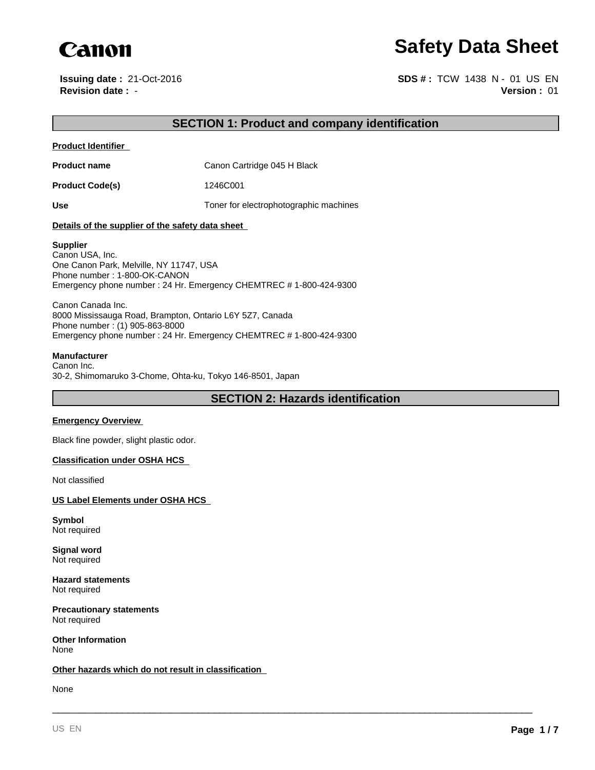

**Issuing date :** 21-Oct-2016

**Canon**<br> **Safety Data Sheet**<br> **Safety Data Sheet**<br> **SPARE : 21-Oct-2016**<br> **Revision date : -**<br> **SPARE : TCW 1438 N - 01 US EN**<br> **SPARE : 1438 N - 01 US EN**<br> **Version : 01 Version :** 01 **SDS # :** TCW 1438 N - 01 US EN

# **SECTION 1: Product and company identification**

**Product Identifier** 

**Product name** Canon Cartridge 045 H Black

**Product Code(s)** 1246C001

Use Use **Use** Toner for electrophotographic machines

### **Details of the supplier of the safety data sheet**

### **Supplier**

Canon USA, Inc. One Canon Park, Melville, NY 11747, USA Phone number : 1-800-OK-CANON Emergency phone number : 24 Hr. Emergency CHEMTREC # 1-800-424-9300

Canon Canada Inc. 8000 Mississauga Road, Brampton, Ontario L6Y 5Z7, Canada Phone number : (1) 905-863-8000 Emergency phone number : 24 Hr. Emergency CHEMTREC # 1-800-424-9300

# **Manufacturer**

Canon Inc. 30-2, Shimomaruko 3-Chome, Ohta-ku, Tokyo 146-8501, Japan

**SECTION 2: Hazards identification**

\_\_\_\_\_\_\_\_\_\_\_\_\_\_\_\_\_\_\_\_\_\_\_\_\_\_\_\_\_\_\_\_\_\_\_\_\_\_\_\_\_\_\_\_\_\_\_\_\_\_\_\_\_\_\_\_\_\_\_\_\_\_\_\_\_\_\_\_\_\_\_\_\_\_\_\_\_\_\_\_\_\_\_\_\_\_\_\_\_

### **Emergency Overview**

Black fine powder, slight plastic odor.

## **Classification under OSHA HCS**

Not classified

# **US Label Elements under OSHA HCS**

**Symbol** Not required

**Signal word** Not required

**Hazard statements** Not required

**Precautionary statements** Not required

**Other Information** None

### **Other hazards which do not result in classification**

None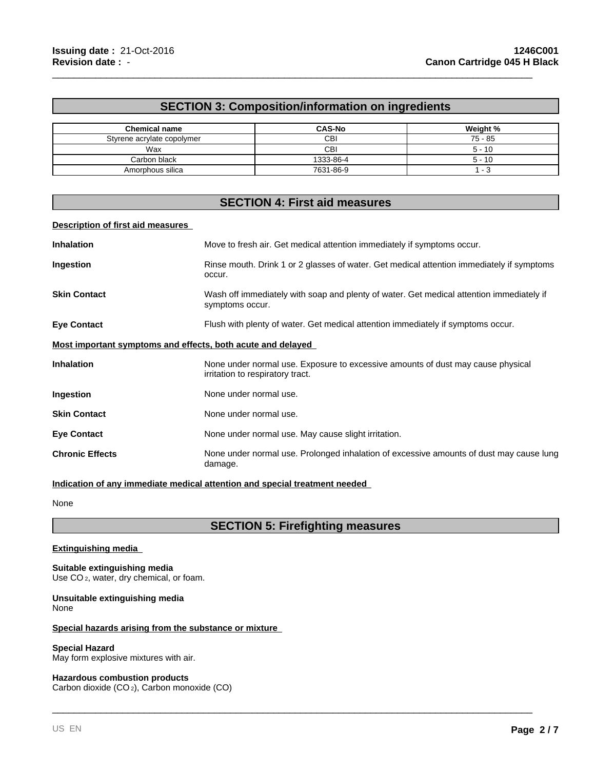# **SECTION 3: Composition/information on ingredients**

\_\_\_\_\_\_\_\_\_\_\_\_\_\_\_\_\_\_\_\_\_\_\_\_\_\_\_\_\_\_\_\_\_\_\_\_\_\_\_\_\_\_\_\_\_\_\_\_\_\_\_\_\_\_\_\_\_\_\_\_\_\_\_\_\_\_\_\_\_\_\_\_\_\_\_\_\_\_\_\_\_\_\_\_\_\_\_\_\_

| <b>Chemical name</b>       | <b>CAS-No</b> | Weight %  |
|----------------------------|---------------|-----------|
| Styrene acrylate copolymer | CВI           | $75 - 85$ |
| Wax                        | CBI           | $5 - 10$  |
| Carbon black               | 1333-86-4     | $5 - 10$  |
| Amorphous silica           | 7631-86-9     |           |

# **SECTION 4: First aid measures**

### **Description of first aid measures**

| <b>Inhalation</b>                                           | Move to fresh air. Get medical attention immediately if symptoms occur.                                             |  |
|-------------------------------------------------------------|---------------------------------------------------------------------------------------------------------------------|--|
| Ingestion                                                   | Rinse mouth. Drink 1 or 2 glasses of water. Get medical attention immediately if symptoms<br>occur.                 |  |
| <b>Skin Contact</b>                                         | Wash off immediately with soap and plenty of water. Get medical attention immediately if<br>symptoms occur.         |  |
| <b>Eye Contact</b>                                          | Flush with plenty of water. Get medical attention immediately if symptoms occur.                                    |  |
| Most important symptoms and effects, both acute and delayed |                                                                                                                     |  |
| <b>Inhalation</b>                                           | None under normal use. Exposure to excessive amounts of dust may cause physical<br>irritation to respiratory tract. |  |
| Ingestion                                                   | None under normal use.                                                                                              |  |
| <b>Skin Contact</b>                                         | None under normal use.                                                                                              |  |
| <b>Eye Contact</b>                                          | None under normal use. May cause slight irritation.                                                                 |  |
| <b>Chronic Effects</b>                                      | None under normal use. Prolonged inhalation of excessive amounts of dust may cause lung<br>damage.                  |  |

# **Indication of any immediate medical attention and special treatment needed**

None

# **SECTION 5: Firefighting measures**

\_\_\_\_\_\_\_\_\_\_\_\_\_\_\_\_\_\_\_\_\_\_\_\_\_\_\_\_\_\_\_\_\_\_\_\_\_\_\_\_\_\_\_\_\_\_\_\_\_\_\_\_\_\_\_\_\_\_\_\_\_\_\_\_\_\_\_\_\_\_\_\_\_\_\_\_\_\_\_\_\_\_\_\_\_\_\_\_\_

# **Extinguishing media**

**Suitable extinguishing media** Use CO<sub>2</sub>, water, dry chemical, or foam.

### **Unsuitable extinguishing media** None

# **Special hazards arising from the substance or mixture**

### **Special Hazard**

May form explosive mixtures with air.

### **Hazardous combustion products**

Carbon dioxide (CO 2), Carbon monoxide (CO)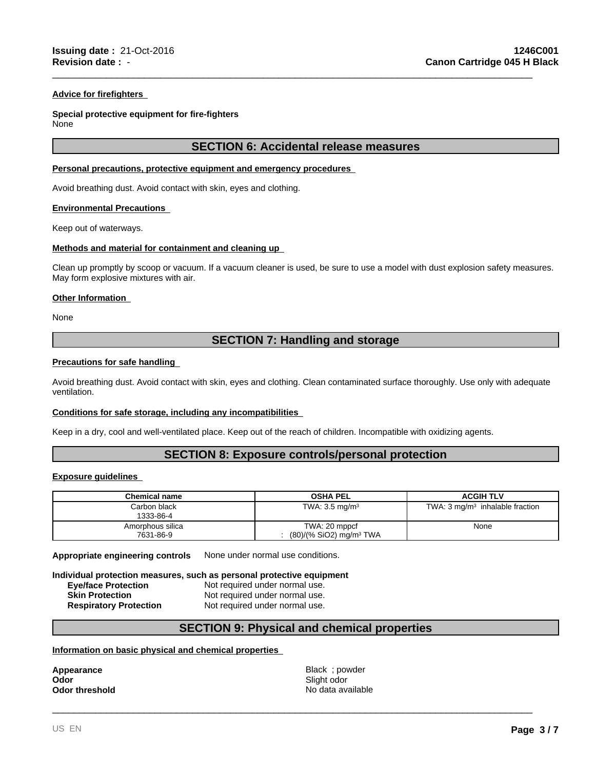## **Advice for firefighters**

# **Special protective equipment for fire-fighters**

None

# **SECTION 6: Accidental release measures**

\_\_\_\_\_\_\_\_\_\_\_\_\_\_\_\_\_\_\_\_\_\_\_\_\_\_\_\_\_\_\_\_\_\_\_\_\_\_\_\_\_\_\_\_\_\_\_\_\_\_\_\_\_\_\_\_\_\_\_\_\_\_\_\_\_\_\_\_\_\_\_\_\_\_\_\_\_\_\_\_\_\_\_\_\_\_\_\_\_

### **Personal precautions, protective equipment and emergency procedures**

Avoid breathing dust. Avoid contact with skin, eyes and clothing.

### **Environmental Precautions**

Keep out of waterways.

### **Methods and material for containment and cleaning up**

Clean up promptly by scoop or vacuum. If a vacuum cleaner is used, be sure to use a model with dust explosion safety measures. May form explosive mixtures with air.

### **Other Information**

None

# **SECTION 7: Handling and storage**

### **Precautions for safe handling**

Avoid breathing dust. Avoid contact with skin, eyes and clothing. Clean contaminated surface thoroughly. Use only with adequate ventilation.

# **Conditions for safe storage, including any incompatibilities**

Keep in a dry, cool and well-ventilated place. Keep out of the reach of children. Incompatible with oxidizing agents.

# **SECTION 8: Exposure controls/personal protection**

# **Exposure guidelines**

| <b>Chemical name</b>          | <b>OSHA PEL</b>                                        | <b>ACGIH TLV</b>                           |
|-------------------------------|--------------------------------------------------------|--------------------------------------------|
| Carbon black<br>1333-86-4     | TWA: $3.5 \text{ mg/m}^3$                              | TWA: $3 \text{ mg/m}^3$ inhalable fraction |
| Amorphous silica<br>7631-86-9 | TWA: 20 mppcf<br>$(80)/(%$ SiO2) mg/m <sup>3</sup> TWA | None                                       |

**Appropriate engineering controls** None under normal use conditions.

**Individual protection measures, such as personal protective equipment**

**Eve/face Protection** Not required under normal use. **Skin Protection** Not required under normal use. **Respiratory Protection** Not required under normal use.

# **SECTION 9: Physical and chemical properties**

# **Information on basic physical and chemical properties**

**Odor** Slight odor

**Appearance Black** ; powder **Odor threshold No data available No data available** 

\_\_\_\_\_\_\_\_\_\_\_\_\_\_\_\_\_\_\_\_\_\_\_\_\_\_\_\_\_\_\_\_\_\_\_\_\_\_\_\_\_\_\_\_\_\_\_\_\_\_\_\_\_\_\_\_\_\_\_\_\_\_\_\_\_\_\_\_\_\_\_\_\_\_\_\_\_\_\_\_\_\_\_\_\_\_\_\_\_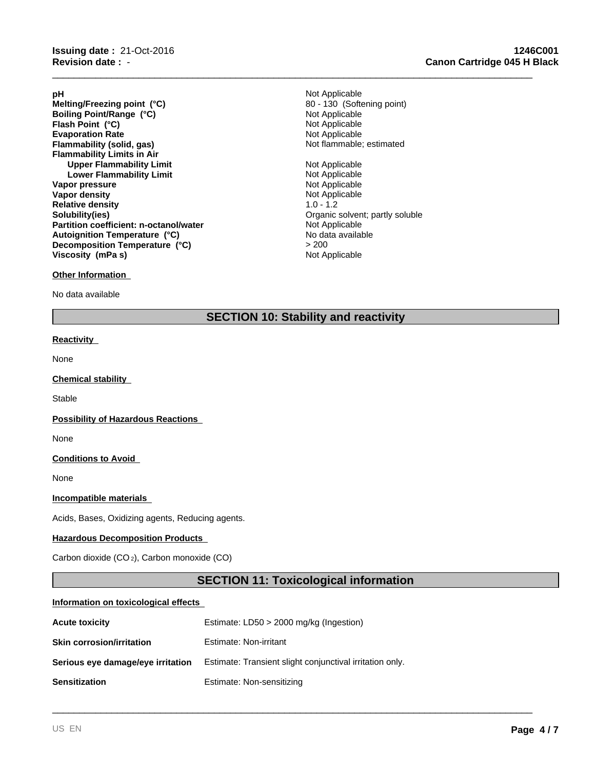**Evaporation Rate**<br> **Example:** Not Applicable<br> **Elammability (solid, gas)**<br> **Example:** Not flammable; estimated **Flammability (solid, gas) Flammability Limits in Air Upper Flammability Limit**<br> **Lower Flammability Limit**<br> **Lower Flammability Limit Lower Flammability Limit Vapor pressure** Not Applicable Vapor density and the Vapor density of Applicable Vapor density and the Vapor density of  $\mathbb{R}^n$ **Vapor density** Not Applicable Not Applicable Not Applicable Not Applicable Not Applicable Not Applicable Not Applicable Not Applicable Not Applicable Not Applicable Not Applicable Not Applicable Not Applicable Not Applica **Relative density**<br>Solubility(ies) **Partition coefficient: n-octanol/water Flash Point (°C) Melting/Freezing point (°C) Autoignition Temperature (°C) Decomposition Temperature (°C)** > 200 **Boiling Point/Range (°C) Viscosity (mPa s)**

# **Other Information**

No data available

**pH** Not Applicable Not Applicable<br>Not Applicable 80 - 130 (Softening point)

\_\_\_\_\_\_\_\_\_\_\_\_\_\_\_\_\_\_\_\_\_\_\_\_\_\_\_\_\_\_\_\_\_\_\_\_\_\_\_\_\_\_\_\_\_\_\_\_\_\_\_\_\_\_\_\_\_\_\_\_\_\_\_\_\_\_\_\_\_\_\_\_\_\_\_\_\_\_\_\_\_\_\_\_\_\_\_\_\_

Organic solvent; partly soluble<br>Not Applicable Not Applicable No data available

# **SECTION 10: Stability and reactivity**

# **Reactivity**

None

# **Chemical stability**

**Stable** 

### **Possibility of Hazardous Reactions**

None

# **Conditions to Avoid**

None

# **Incompatible materials**

Acids, Bases, Oxidizing agents, Reducing agents.

# **Hazardous Decomposition Products**

Carbon dioxide (CO 2), Carbon monoxide (CO)

# **SECTION 11: Toxicological information**

\_\_\_\_\_\_\_\_\_\_\_\_\_\_\_\_\_\_\_\_\_\_\_\_\_\_\_\_\_\_\_\_\_\_\_\_\_\_\_\_\_\_\_\_\_\_\_\_\_\_\_\_\_\_\_\_\_\_\_\_\_\_\_\_\_\_\_\_\_\_\_\_\_\_\_\_\_\_\_\_\_\_\_\_\_\_\_\_\_

### **Information on toxicological effects**

| <b>Acute toxicity</b>             | Estimate: $LD50 > 2000$ mg/kg (Ingestion)                |  |
|-----------------------------------|----------------------------------------------------------|--|
| <b>Skin corrosion/irritation</b>  | Estimate: Non-irritant                                   |  |
| Serious eye damage/eye irritation | Estimate: Transient slight conjunctival irritation only. |  |
| <b>Sensitization</b>              | Estimate: Non-sensitizing                                |  |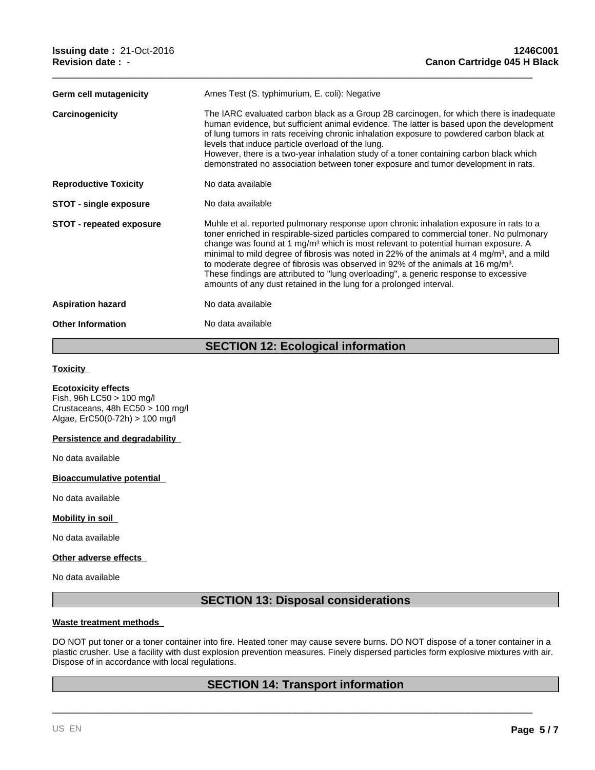| Germ cell mutagenicity          | Ames Test (S. typhimurium, E. coli): Negative                                                                                                                                                                                                                                                                                                                                                                                                                                                                                                                                                                                                             |
|---------------------------------|-----------------------------------------------------------------------------------------------------------------------------------------------------------------------------------------------------------------------------------------------------------------------------------------------------------------------------------------------------------------------------------------------------------------------------------------------------------------------------------------------------------------------------------------------------------------------------------------------------------------------------------------------------------|
| Carcinogenicity                 | The IARC evaluated carbon black as a Group 2B carcinogen, for which there is inadequate<br>human evidence, but sufficient animal evidence. The latter is based upon the development<br>of lung tumors in rats receiving chronic inhalation exposure to powdered carbon black at<br>levels that induce particle overload of the lung.<br>However, there is a two-year inhalation study of a toner containing carbon black which<br>demonstrated no association between toner exposure and tumor development in rats.                                                                                                                                       |
| <b>Reproductive Toxicity</b>    | No data available                                                                                                                                                                                                                                                                                                                                                                                                                                                                                                                                                                                                                                         |
| <b>STOT - single exposure</b>   | No data available                                                                                                                                                                                                                                                                                                                                                                                                                                                                                                                                                                                                                                         |
| <b>STOT - repeated exposure</b> | Muhle et al. reported pulmonary response upon chronic inhalation exposure in rats to a<br>toner enriched in respirable-sized particles compared to commercial toner. No pulmonary<br>change was found at 1 mg/m <sup>3</sup> which is most relevant to potential human exposure. A<br>minimal to mild degree of fibrosis was noted in 22% of the animals at 4 mg/m <sup>3</sup> , and a mild<br>to moderate degree of fibrosis was observed in 92% of the animals at 16 mg/m <sup>3</sup> .<br>These findings are attributed to "lung overloading", a generic response to excessive<br>amounts of any dust retained in the lung for a prolonged interval. |
| <b>Aspiration hazard</b>        | No data available                                                                                                                                                                                                                                                                                                                                                                                                                                                                                                                                                                                                                                         |
| <b>Other Information</b>        | No data available                                                                                                                                                                                                                                                                                                                                                                                                                                                                                                                                                                                                                                         |

\_\_\_\_\_\_\_\_\_\_\_\_\_\_\_\_\_\_\_\_\_\_\_\_\_\_\_\_\_\_\_\_\_\_\_\_\_\_\_\_\_\_\_\_\_\_\_\_\_\_\_\_\_\_\_\_\_\_\_\_\_\_\_\_\_\_\_\_\_\_\_\_\_\_\_\_\_\_\_\_\_\_\_\_\_\_\_\_\_

# **SECTION 12: Ecological information**

# **Toxicity**

# **Ecotoxicity effects**

Fish, 96h LC50 > 100 mg/l Crustaceans, 48h EC50 > 100 mg/l Algae, ErC50(0-72h) > 100 mg/l

# **Persistence and degradability**

No data available

# **Bioaccumulative potential**

No data available

# **Mobility in soil**

No data available

# **Other adverse effects**

No data available

# **SECTION 13: Disposal considerations**

### **Waste treatment methods**

DO NOT put toner or a toner container into fire. Heated toner may cause severe burns. DO NOT dispose of a toner container in a plastic crusher. Use a facility with dust explosion prevention measures. Finely dispersed particles form explosive mixtures with air. Dispose of in accordance with local regulations.

# **SECTION 14: Transport information**

\_\_\_\_\_\_\_\_\_\_\_\_\_\_\_\_\_\_\_\_\_\_\_\_\_\_\_\_\_\_\_\_\_\_\_\_\_\_\_\_\_\_\_\_\_\_\_\_\_\_\_\_\_\_\_\_\_\_\_\_\_\_\_\_\_\_\_\_\_\_\_\_\_\_\_\_\_\_\_\_\_\_\_\_\_\_\_\_\_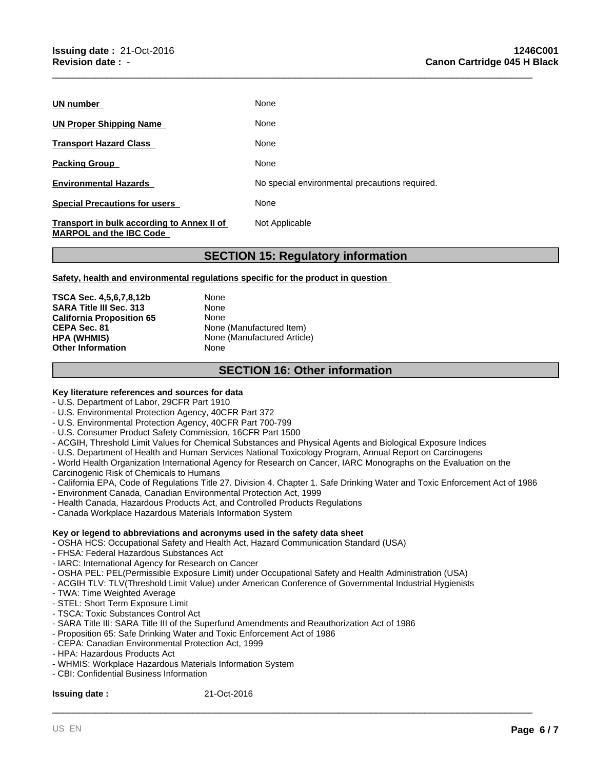| UN number                                                                    | None                                           |
|------------------------------------------------------------------------------|------------------------------------------------|
| UN Proper Shipping Name                                                      | None                                           |
| <b>Transport Hazard Class</b>                                                | None                                           |
| <b>Packing Group</b>                                                         | None                                           |
| <b>Environmental Hazards</b>                                                 | No special environmental precautions required. |
| <b>Special Precautions for users</b>                                         | None                                           |
| Transport in bulk according to Annex II of<br><b>MARPOL and the IBC Code</b> | Not Applicable                                 |

# **SECTION 15: Regulatory information**

\_\_\_\_\_\_\_\_\_\_\_\_\_\_\_\_\_\_\_\_\_\_\_\_\_\_\_\_\_\_\_\_\_\_\_\_\_\_\_\_\_\_\_\_\_\_\_\_\_\_\_\_\_\_\_\_\_\_\_\_\_\_\_\_\_\_\_\_\_\_\_\_\_\_\_\_\_\_\_\_\_\_\_\_\_\_\_\_\_

# **Safety, health and environmental regulations specific for the product in question**

**TSCA Sec. 4,5,6,7,8,12b** None **SARA Title III Sec. 313** None **California Proposition 65** None **CEPA Sec. 81** None (Manufactured Item)<br> **HPA (WHMIS)** None (Manufactured Article **Other Information** None

**None (Manufactured Article)** 

# **SECTION 16: Other information**

# **Key literature references and sources for data**

- U.S. Department of Labor, 29CFR Part 1910

- U.S. Environmental Protection Agency, 40CFR Part 372
- U.S. Environmental Protection Agency, 40CFR Part 700-799
- U.S. Consumer Product Safety Commission, 16CFR Part 1500
- ACGIH, Threshold Limit Values for Chemical Substances and Physical Agents and Biological Exposure Indices
- U.S. Department of Health and Human Services National Toxicology Program, Annual Report on Carcinogens
- World Health Organization International Agency for Research on Cancer, IARC Monographs on the Evaluation on the Carcinogenic Risk of Chemicals to Humans
- California EPA, Code of Regulations Title 27. Division 4. Chapter 1. Safe Drinking Water and Toxic Enforcement Act of 1986

\_\_\_\_\_\_\_\_\_\_\_\_\_\_\_\_\_\_\_\_\_\_\_\_\_\_\_\_\_\_\_\_\_\_\_\_\_\_\_\_\_\_\_\_\_\_\_\_\_\_\_\_\_\_\_\_\_\_\_\_\_\_\_\_\_\_\_\_\_\_\_\_\_\_\_\_\_\_\_\_\_\_\_\_\_\_\_\_\_

- Environment Canada, Canadian Environmental Protection Act, 1999
- Health Canada, Hazardous Products Act, and Controlled Products Regulations
- Canada Workplace Hazardous Materials Information System

# **Key or legend to abbreviations and acronyms used in the safety data sheet**

- OSHA HCS: Occupational Safety and Health Act, Hazard Communication Standard (USA)
- FHSA: Federal Hazardous Substances Act
- IARC: International Agency for Research on Cancer
- OSHA PEL: PEL(Permissible Exposure Limit) under Occupational Safety and Health Administration (USA)
- ACGIH TLV: TLV(Threshold Limit Value) under American Conference of Governmental Industrial Hygienists
- TWA: Time Weighted Average
- STEL: Short Term Exposure Limit
- TSCA: Toxic Substances Control Act
- SARA Title III: SARA Title III of the Superfund Amendments and Reauthorization Act of 1986
- Proposition 65: Safe Drinking Water and Toxic Enforcement Act of 1986
- CEPA: Canadian Environmental Protection Act, 1999
- HPA: Hazardous Products Act
- WHMIS: Workplace Hazardous Materials Information System
- CBI: Confidential Business Information

# **Issuing date :** 21-Oct-2016